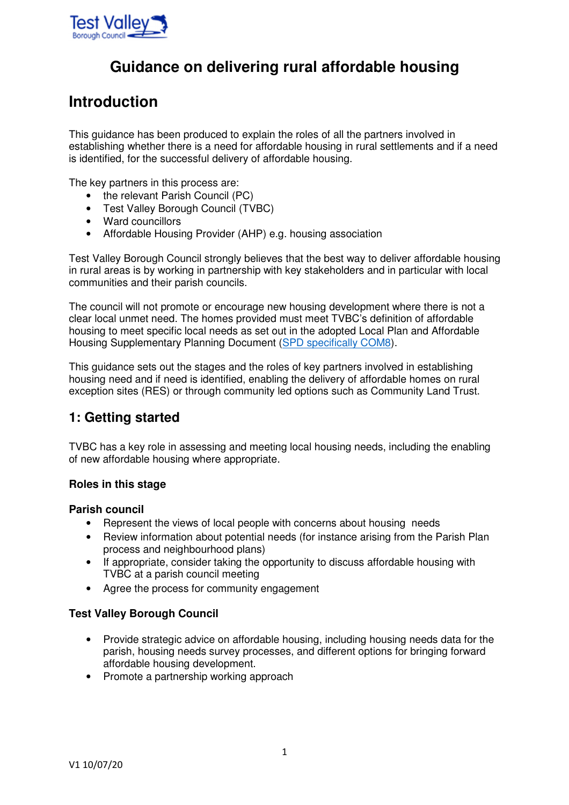

# **Guidance on delivering rural affordable housing**

# **Introduction**

This guidance has been produced to explain the roles of all the partners involved in establishing whether there is a need for affordable housing in rural settlements and if a need is identified, for the successful delivery of affordable housing.

The key partners in this process are:

- the relevant Parish Council (PC)
- Test Valley Borough Council (TVBC)
- Ward councillors
- Affordable Housing Provider (AHP) e.g. housing association

Test Valley Borough Council strongly believes that the best way to deliver affordable housing in rural areas is by working in partnership with key stakeholders and in particular with local communities and their parish councils.

The council will not promote or encourage new housing development where there is not a clear local unmet need. The homes provided must meet TVBC's definition of affordable housing to meet specific local needs as set out in the adopted Local Plan and Affordable Housing Supplementary Planning Document (SPD specifically COM8).

This guidance sets out the stages and the roles of key partners involved in establishing housing need and if need is identified, enabling the delivery of affordable homes on rural exception sites (RES) or through community led options such as Community Land Trust.

# **1: Getting started**

TVBC has a key role in assessing and meeting local housing needs, including the enabling of new affordable housing where appropriate.

# **Roles in this stage**

### **Parish council**

- Represent the views of local people with concerns about housing needs
- Review information about potential needs (for instance arising from the Parish Plan process and neighbourhood plans)
- If appropriate, consider taking the opportunity to discuss affordable housing with TVBC at a parish council meeting
- Agree the process for community engagement

# **Test Valley Borough Council**

- Provide strategic advice on affordable housing, including housing needs data for the parish, housing needs survey processes, and different options for bringing forward affordable housing development.
- Promote a partnership working approach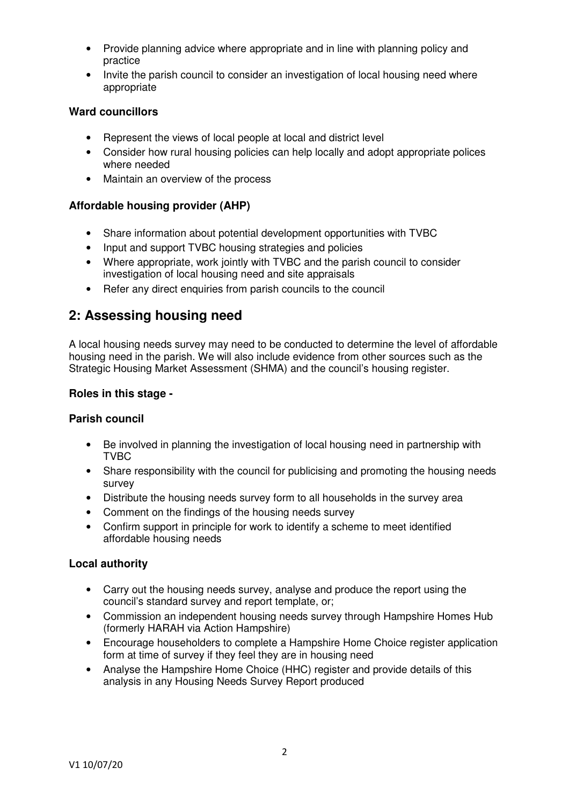- Provide planning advice where appropriate and in line with planning policy and practice
- Invite the parish council to consider an investigation of local housing need where appropriate

# **Ward councillors**

- Represent the views of local people at local and district level
- Consider how rural housing policies can help locally and adopt appropriate polices where needed
- Maintain an overview of the process

# **Affordable housing provider (AHP)**

- Share information about potential development opportunities with TVBC
- Input and support TVBC housing strategies and policies
- Where appropriate, work jointly with TVBC and the parish council to consider investigation of local housing need and site appraisals
- Refer any direct enquiries from parish councils to the council

# **2: Assessing housing need**

A local housing needs survey may need to be conducted to determine the level of affordable housing need in the parish. We will also include evidence from other sources such as the Strategic Housing Market Assessment (SHMA) and the council's housing register.

# **Roles in this stage -**

# **Parish council**

- Be involved in planning the investigation of local housing need in partnership with TVBC
- Share responsibility with the council for publicising and promoting the housing needs survey
- Distribute the housing needs survey form to all households in the survey area
- Comment on the findings of the housing needs survey
- Confirm support in principle for work to identify a scheme to meet identified affordable housing needs

# **Local authority**

- Carry out the housing needs survey, analyse and produce the report using the council's standard survey and report template, or;
- Commission an independent housing needs survey through Hampshire Homes Hub (formerly HARAH via Action Hampshire)
- Encourage householders to complete a Hampshire Home Choice register application form at time of survey if they feel they are in housing need
- Analyse the Hampshire Home Choice (HHC) register and provide details of this analysis in any Housing Needs Survey Report produced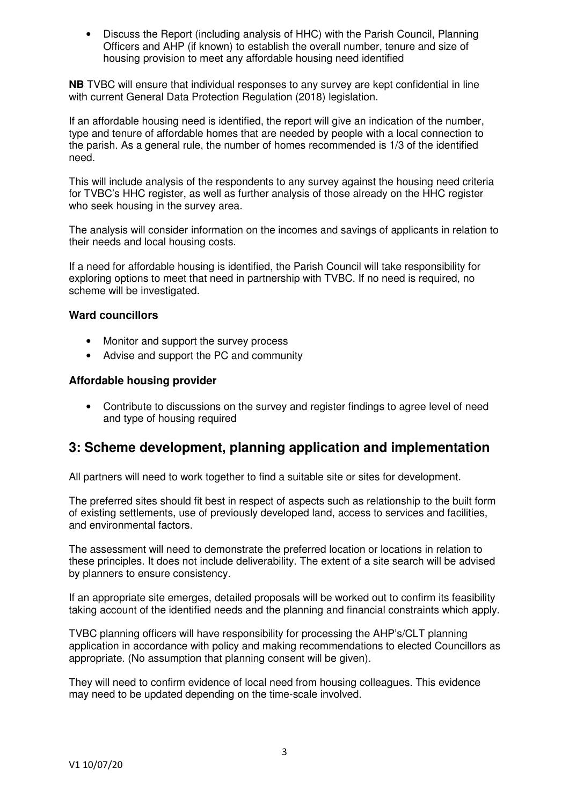• Discuss the Report (including analysis of HHC) with the Parish Council, Planning Officers and AHP (if known) to establish the overall number, tenure and size of housing provision to meet any affordable housing need identified

**NB** TVBC will ensure that individual responses to any survey are kept confidential in line with current General Data Protection Regulation (2018) legislation.

If an affordable housing need is identified, the report will give an indication of the number, type and tenure of affordable homes that are needed by people with a local connection to the parish. As a general rule, the number of homes recommended is 1/3 of the identified need.

This will include analysis of the respondents to any survey against the housing need criteria for TVBC's HHC register, as well as further analysis of those already on the HHC register who seek housing in the survey area.

The analysis will consider information on the incomes and savings of applicants in relation to their needs and local housing costs.

If a need for affordable housing is identified, the Parish Council will take responsibility for exploring options to meet that need in partnership with TVBC. If no need is required, no scheme will be investigated.

#### **Ward councillors**

- Monitor and support the survey process
- Advise and support the PC and community

#### **Affordable housing provider**

• Contribute to discussions on the survey and register findings to agree level of need and type of housing required

# **3: Scheme development, planning application and implementation**

All partners will need to work together to find a suitable site or sites for development.

The preferred sites should fit best in respect of aspects such as relationship to the built form of existing settlements, use of previously developed land, access to services and facilities, and environmental factors.

The assessment will need to demonstrate the preferred location or locations in relation to these principles. It does not include deliverability. The extent of a site search will be advised by planners to ensure consistency.

If an appropriate site emerges, detailed proposals will be worked out to confirm its feasibility taking account of the identified needs and the planning and financial constraints which apply.

TVBC planning officers will have responsibility for processing the AHP's/CLT planning application in accordance with policy and making recommendations to elected Councillors as appropriate. (No assumption that planning consent will be given).

They will need to confirm evidence of local need from housing colleagues. This evidence may need to be updated depending on the time-scale involved.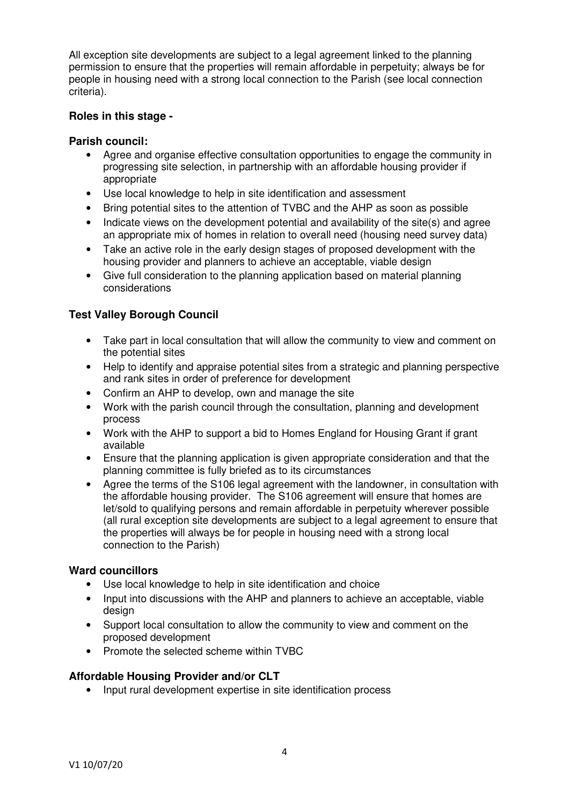All exception site developments are subject to a legal agreement linked to the planning permission to ensure that the properties will remain affordable in perpetuity; always be for people in housing need with a strong local connection to the Parish (see local connection criteria).

### **Roles in this stage -**

### **Parish council:**

- Agree and organise effective consultation opportunities to engage the community in progressing site selection, in partnership with an affordable housing provider if appropriate
- Use local knowledge to help in site identification and assessment
- Bring potential sites to the attention of TVBC and the AHP as soon as possible
- Indicate views on the development potential and availability of the site(s) and agree an appropriate mix of homes in relation to overall need (housing need survey data)
- Take an active role in the early design stages of proposed development with the housing provider and planners to achieve an acceptable, viable design
- Give full consideration to the planning application based on material planning considerations

# **Test Valley Borough Council**

- Take part in local consultation that will allow the community to view and comment on the potential sites
- Help to identify and appraise potential sites from a strategic and planning perspective and rank sites in order of preference for development
- Confirm an AHP to develop, own and manage the site
- Work with the parish council through the consultation, planning and development process
- Work with the AHP to support a bid to Homes England for Housing Grant if grant available
- Ensure that the planning application is given appropriate consideration and that the planning committee is fully briefed as to its circumstances
- Agree the terms of the S106 legal agreement with the landowner, in consultation with the affordable housing provider. The S106 agreement will ensure that homes are let/sold to qualifying persons and remain affordable in perpetuity wherever possible (all rural exception site developments are subject to a legal agreement to ensure that the properties will always be for people in housing need with a strong local connection to the Parish)

### **Ward councillors**

- Use local knowledge to help in site identification and choice
- Input into discussions with the AHP and planners to achieve an acceptable, viable design
- Support local consultation to allow the community to view and comment on the proposed development
- Promote the selected scheme within TVBC

# **Affordable Housing Provider and/or CLT**

• Input rural development expertise in site identification process